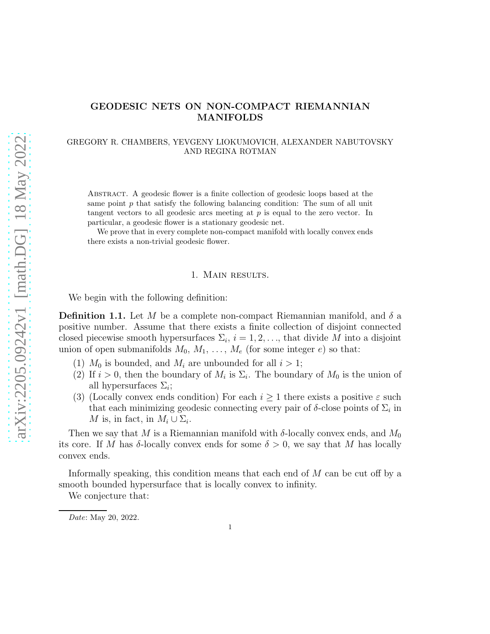# GEODESIC NETS ON NON-COMPACT RIEMANNIAN MANIFOLDS

# GREGORY R. CHAMBERS, YEVGENY LIOKUMOVICH, ALEXANDER NABUTOVSKY AND REGINA ROTMAN

Abstract. A geodesic flower is a finite collection of geodesic loops based at the same point  $p$  that satisfy the following balancing condition: The sum of all unit tangent vectors to all geodesic arcs meeting at  $p$  is equal to the zero vector. In particular, a geodesic flower is a stationary geodesic net.

We prove that in every complete non-compact manifold with locally convex ends there exists a non-trivial geodesic flower.

### 1. Main results.

We begin with the following definition:

**Definition 1.1.** Let M be a complete non-compact Riemannian manifold, and  $\delta$  a positive number. Assume that there exists a finite collection of disjoint connected closed piecewise smooth hypersurfaces  $\Sigma_i$ ,  $i = 1, 2, \ldots$ , that divide M into a disjoint union of open submanifolds  $M_0, M_1, \ldots, M_e$  (for some integer e) so that:

- (1)  $M_0$  is bounded, and  $M_i$  are unbounded for all  $i > 1$ ;
- (2) If  $i > 0$ , then the boundary of  $M_i$  is  $\Sigma_i$ . The boundary of  $M_0$  is the union of all hypersurfaces  $\Sigma_i$ ;
- (3) (Locally convex ends condition) For each  $i \geq 1$  there exists a positive  $\varepsilon$  such that each minimizing geodesic connecting every pair of  $\delta$ -close points of  $\Sigma_i$  in M is, in fact, in  $M_i \cup \Sigma_i$ .

Then we say that M is a Riemannian manifold with  $\delta$ -locally convex ends, and  $M_0$ its core. If M has  $\delta$ -locally convex ends for some  $\delta > 0$ , we say that M has locally convex ends.

Informally speaking, this condition means that each end of M can be cut off by a smooth bounded hypersurface that is locally convex to infinity.

We conjecture that:

Date: May 20, 2022.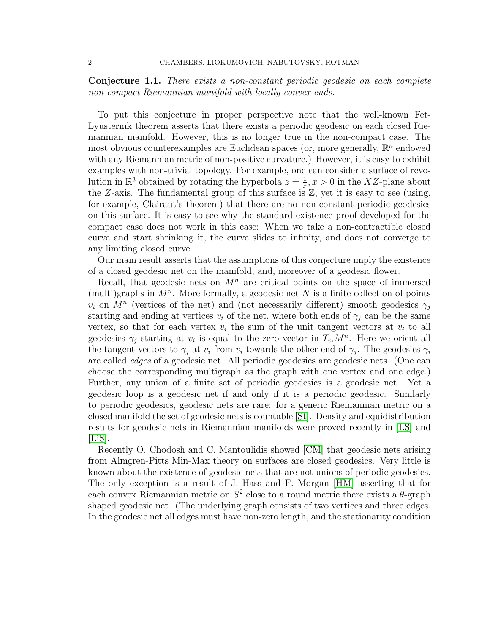Conjecture 1.1. There exists a non-constant periodic geodesic on each complete non-compact Riemannian manifold with locally convex ends.

To put this conjecture in proper perspective note that the well-known Fet-Lyusternik theorem asserts that there exists a periodic geodesic on each closed Riemannian manifold. However, this is no longer true in the non-compact case. The most obvious counterexamples are Euclidean spaces (or, more generally,  $\mathbb{R}^n$  endowed with any Riemannian metric of non-positive curvature.) However, it is easy to exhibit examples with non-trivial topology. For example, one can consider a surface of revolution in  $\mathbb{R}^3$  obtained by rotating the hyperbola  $z = \frac{1}{x}$  $\frac{1}{x}$ ,  $x > 0$  in the XZ-plane about the Z-axis. The fundamental group of this surface is  $\mathbb{Z}$ , yet it is easy to see (using, for example, Clairaut's theorem) that there are no non-constant periodic geodesics on this surface. It is easy to see why the standard existence proof developed for the compact case does not work in this case: When we take a non-contractible closed curve and start shrinking it, the curve slides to infinity, and does not converge to any limiting closed curve.

Our main result asserts that the assumptions of this conjecture imply the existence of a closed geodesic net on the manifold, and, moreover of a geodesic flower.

Recall, that geodesic nets on  $M<sup>n</sup>$  are critical points on the space of immersed (multi)graphs in  $M<sup>n</sup>$ . More formally, a geodesic net N is a finite collection of points  $v_i$  on  $M^n$  (vertices of the net) and (not necessarily different) smooth geodesics  $\gamma_j$ starting and ending at vertices  $v_i$  of the net, where both ends of  $\gamma_j$  can be the same vertex, so that for each vertex  $v_i$  the sum of the unit tangent vectors at  $v_i$  to all geodesics  $\gamma_j$  starting at  $v_i$  is equal to the zero vector in  $T_{v_i}M^n$ . Here we orient all the tangent vectors to  $\gamma_j$  at  $v_i$  from  $v_i$  towards the other end of  $\gamma_j$ . The geodesics  $\gamma_i$ are called edges of a geodesic net. All periodic geodesics are geodesic nets. (One can choose the corresponding multigraph as the graph with one vertex and one edge.) Further, any union of a finite set of periodic geodesics is a geodesic net. Yet a geodesic loop is a geodesic net if and only if it is a periodic geodesic. Similarly to periodic geodesics, geodesic nets are rare: for a generic Riemannian metric on a closed manifold the set of geodesic nets is countable [\[St\]](#page-15-0). Density and equidistribution results for geodesic nets in Riemannian manifolds were proved recently in [\[LS\]](#page-15-1) and  $|List$ .

Recently O. Chodosh and C. Mantoulidis showed [\[CM\]](#page-15-3) that geodesic nets arising from Almgren-Pitts Min-Max theory on surfaces are closed geodesics. Very little is known about the existence of geodesic nets that are not unions of periodic geodesics. The only exception is a result of J. Hass and F. Morgan [\[HM\]](#page-15-4) asserting that for each convex Riemannian metric on  $S^2$  close to a round metric there exists a  $\theta$ -graph shaped geodesic net. (The underlying graph consists of two vertices and three edges. In the geodesic net all edges must have non-zero length, and the stationarity condition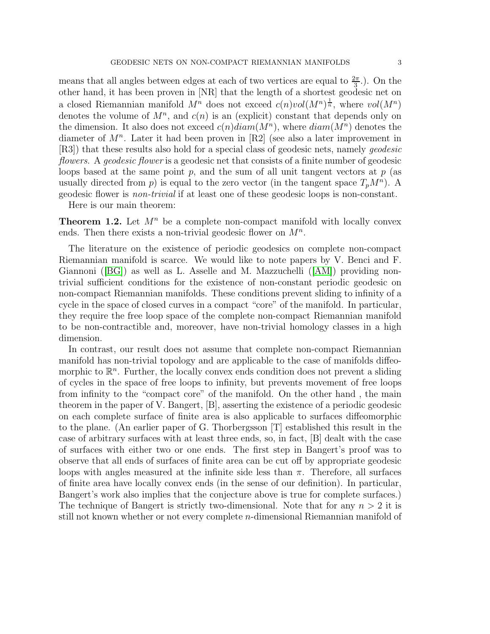means that all angles between edges at each of two vertices are equal to  $\frac{2\pi}{3}$ . On the other hand, it has been proven in [NR] that the length of a shortest geodesic net on a closed Riemannian manifold  $M^n$  does not exceed  $c(n)vol(M^n)^{\frac{1}{n}}$ , where  $vol(M^n)$ denotes the volume of  $M^n$ , and  $c(n)$  is an (explicit) constant that depends only on the dimension. It also does not exceed  $c(n) diam(M^n)$ , where  $diam(M^n)$  denotes the diameter of  $M^n$ . Later it had been proven in [R2] (see also a later improvement in [R3]) that these results also hold for a special class of geodesic nets, namely geodesic flowers. A geodesic flower is a geodesic net that consists of a finite number of geodesic loops based at the same point p, and the sum of all unit tangent vectors at  $p$  (as usually directed from p) is equal to the zero vector (in the tangent space  $T_pM^n$ ). A geodesic flower is non-trivial if at least one of these geodesic loops is non-constant.

Here is our main theorem:

**Theorem 1.2.** Let  $M^n$  be a complete non-compact manifold with locally convex ends. Then there exists a non-trivial geodesic flower on  $M^n$ .

The literature on the existence of periodic geodesics on complete non-compact Riemannian manifold is scarce. We would like to note papers by V. Benci and F. Giannoni ([\[BG\]](#page-15-5)) as well as L. Asselle and M. Mazzuchelli ([\[AM\]](#page-15-6)) providing nontrivial sufficient conditions for the existence of non-constant periodic geodesic on non-compact Riemannian manifolds. These conditions prevent sliding to infinity of a cycle in the space of closed curves in a compact "core" of the manifold. In particular, they require the free loop space of the complete non-compact Riemannian manifold to be non-contractible and, moreover, have non-trivial homology classes in a high dimension.

In contrast, our result does not assume that complete non-compact Riemannian manifold has non-trivial topology and are applicable to the case of manifolds diffeomorphic to  $\mathbb{R}^n$ . Further, the locally convex ends condition does not prevent a sliding of cycles in the space of free loops to infinity, but prevents movement of free loops from infinity to the "compact core" of the manifold. On the other hand , the main theorem in the paper of V. Bangert, [B], asserting the existence of a periodic geodesic on each complete surface of finite area is also applicable to surfaces diffeomorphic to the plane. (An earlier paper of G. Thorbergsson [T] established this result in the case of arbitrary surfaces with at least three ends, so, in fact, [B] dealt with the case of surfaces with either two or one ends. The first step in Bangert's proof was to observe that all ends of surfaces of finite area can be cut off by appropriate geodesic loops with angles measured at the infinite side less than  $\pi$ . Therefore, all surfaces of finite area have locally convex ends (in the sense of our definition). In particular, Bangert's work also implies that the conjecture above is true for complete surfaces.) The technique of Bangert is strictly two-dimensional. Note that for any  $n > 2$  it is still not known whether or not every complete n-dimensional Riemannian manifold of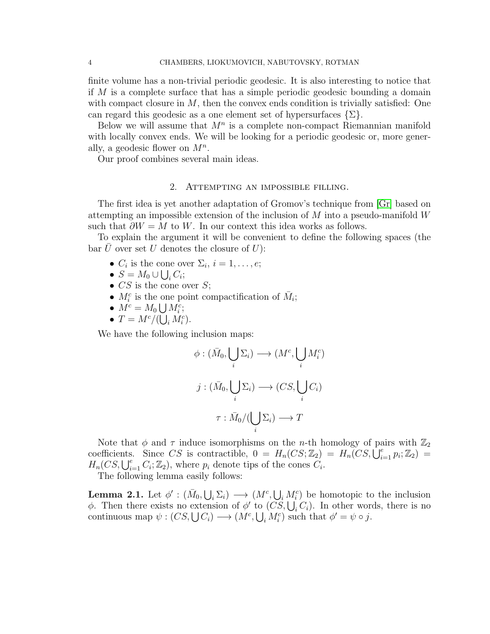finite volume has a non-trivial periodic geodesic. It is also interesting to notice that if M is a complete surface that has a simple periodic geodesic bounding a domain with compact closure in  $M$ , then the convex ends condition is trivially satisfied: One can regard this geodesic as a one element set of hypersurfaces  $\{\Sigma\}.$ 

Below we will assume that  $M^n$  is a complete non-compact Riemannian manifold with locally convex ends. We will be looking for a periodic geodesic or, more generally, a geodesic flower on  $M^n$ .

Our proof combines several main ideas.

#### 2. Attempting an impossible filling.

The first idea is yet another adaptation of Gromov's technique from [\[Gr\]](#page-15-7) based on attempting an impossible extension of the inclusion of  $M$  into a pseudo-manifold  $W$ such that  $\partial W = M$  to W. In our context this idea works as follows.

To explain the argument it will be convenient to define the following spaces (the bar U over set U denotes the closure of  $U$ :

- $C_i$  is the cone over  $\Sigma_i$ ,  $i = 1, \ldots, e;$
- $S = M_0 \cup \bigcup_i C_i;$
- $CS$  is the cone over S;
- $M_i^c$  is the one point compactification of  $\bar{M}_i$ ;
- $M^c = M_0 \bigcup M_i^c;$
- $T = M^c / (\bigcup_i M_i^c)$ .

We have the following inclusion maps:

$$
\phi : (\bar{M}_0, \bigcup_i \Sigma_i) \longrightarrow (M^c, \bigcup_i M^c_i)
$$

$$
j : (\bar{M}_0, \bigcup_i \Sigma_i) \longrightarrow (CS, \bigcup_i C_i)
$$

$$
\tau : \bar{M}_0 / (\bigcup_i \Sigma_i) \longrightarrow T
$$

Note that  $\phi$  and  $\tau$  induce isomorphisms on the *n*-th homology of pairs with  $\mathbb{Z}_2$ coefficients. Since CS is contractible,  $0 = H_n(CS; \mathbb{Z}_2) = H_n(CS, \overline{\bigcup}_{i=1}^e p_i; \mathbb{Z}_2) =$  $H_n(CS, \bigcup_{i=1}^e C_i; \mathbb{Z}_2)$ , where  $p_i$  denote tips of the cones  $C_i$ .

The following lemma easily follows:

<span id="page-3-0"></span>**Lemma 2.1.** Let  $\phi' : (\bar{M}_0, \bigcup_i \Sigma_i) \longrightarrow (M^c, \bigcup_i M^c_i)$  be homotopic to the inclusion φ. Then there exists no extension of  $\phi'$  to  $(C\dot{S}, \bigcup_i C_i)$ . In other words, there is no continuous map  $\psi : (CS, \bigcup C_i) \longrightarrow (M^c, \bigcup_i M_i^c)$  such that  $\phi' = \psi \circ j$ .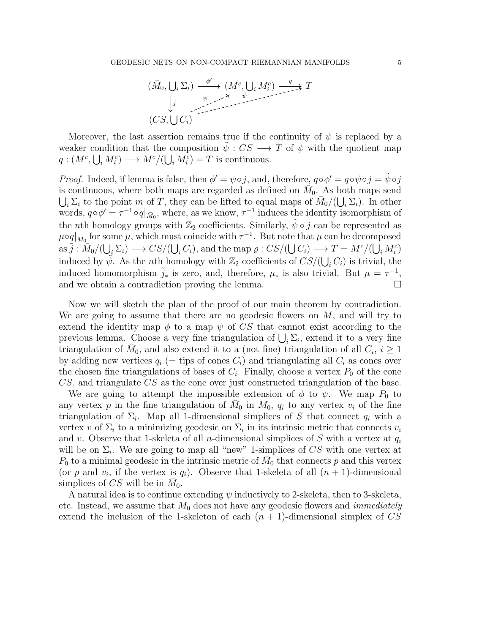

Moreover, the last assertion remains true if the continuity of  $\psi$  is replaced by a weaker condition that the composition  $\psi : CS \longrightarrow T$  of  $\psi$  with the quotient map  $q:(M^c,\bigcup_i M_i^c)\longrightarrow M^c/(\bigcup_i M_i^c)=T$  is continuous.

*Proof.* Indeed, if lemma is false, then  $\phi' = \psi \circ j$ , and, therefore,  $q \circ \phi' = q \circ \psi \circ j = \tilde{\psi} \circ j$ is continuous, where both maps are regarded as defined on  $\overline{M}_0$ . As both maps send  $\bigcup_i \Sigma_i$  to the point m of T, they can be lifted to equal maps of  $\bar{M}_0/(\bigcup_i \Sigma_i)$ . In other words,  $q \circ \phi' = \tau^{-1} \circ q|_{\bar{M}_0}$ , where, as we know,  $\tau^{-1}$  induces the identity isomorphism of the *n*th homology groups with  $\mathbb{Z}_2$  coefficients. Similarly,  $\tilde{\psi} \circ j$  can be represented as  $\mu$ oq $|\bar{M}_0$  for some  $\mu$ , which must coincide with  $\tau^{-1}$ . But note that  $\mu$  can be decomposed as  $\tilde{j}: \overline{M}_0/(\bigcup_i \Sigma_i) \longrightarrow CS/(\bigcup_i C_i)$ , and the map  $\varrho: CS/(\bigcup C_i) \longrightarrow T = M^c/(\bigcup_i M_i^c)$ induced by  $\tilde{\psi}$ . As the *n*th homology with  $\mathbb{Z}_2$  coefficients of  $CS/(\bigcup_i C_i)$  is trivial, the induced homomorphism  $\tilde{j}_*$  is zero, and, therefore,  $\mu_*$  is also trivial. But  $\mu = \tau^{-1}$ , and we obtain a contradiction proving the lemma.

Now we will sketch the plan of the proof of our main theorem by contradiction. We are going to assume that there are no geodesic flowers on  $M$ , and will try to extend the identity map  $\phi$  to a map  $\psi$  of CS that cannot exist according to the previous lemma. Choose a very fine triangulation of  $\bigcup_i \Sigma_i$ , extend it to a very fine triangulation of  $\bar{M}_0$ , and also extend it to a (not fine) triangulation of all  $C_i$ ,  $i \geq 1$ by adding new vertices  $q_i$  (= tips of cones  $C_i$ ) and triangulating all  $C_i$  as cones over the chosen fine triangulations of bases of  $C_i$ . Finally, choose a vertex  $P_0$  of the cone CS, and triangulate CS as the cone over just constructed triangulation of the base.

We are going to attempt the impossible extension of  $\phi$  to  $\psi$ . We map  $P_0$  to any vertex  $p$  in the fine triangulation of  $\bar{M}_0$  in  $M_0$ ,  $q_i$  to any vertex  $v_i$  of the fine triangulation of  $\Sigma_i$ . Map all 1-dimensional simplices of S that connect  $q_i$  with a vertex v of  $\Sigma_i$  to a minimizing geodesic on  $\Sigma_i$  in its intrinsic metric that connects  $v_i$ and v. Observe that 1-skeleta of all n-dimensional simplices of S with a vertex at  $q_i$ will be on  $\Sigma_i$ . We are going to map all "new" 1-simplices of CS with one vertex at  $P_0$  to a minimal geodesic in the intrinsic metric of  $\bar{M}_0$  that connects p and this vertex (or p and  $v_i$ , if the vertex is  $q_i$ ). Observe that 1-skeleta of all  $(n + 1)$ -dimensional simplices of CS will be in  $\bar{M}_0$ .

A natural idea is to continue extending  $\psi$  inductively to 2-skeleta, then to 3-skeleta, etc. Instead, we assume that  $M_0$  does not have any geodesic flowers and *immediately* extend the inclusion of the 1-skeleton of each  $(n + 1)$ -dimensional simplex of CS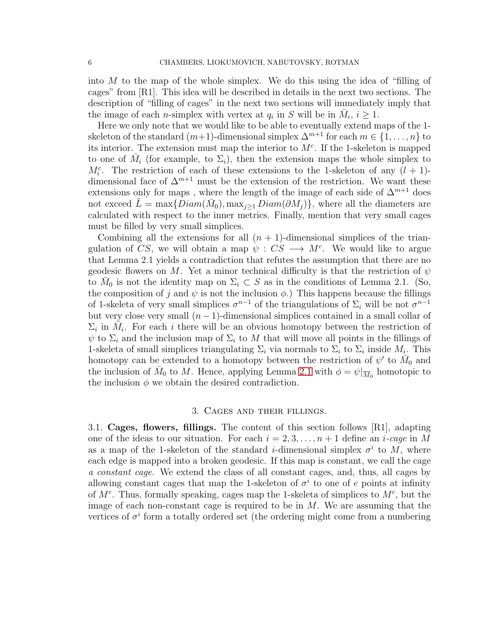into M to the map of the whole simplex. We do this using the idea of "filling of cages" from [R1]. This idea will be described in details in the next two sections. The description of "filling of cages" in the next two sections will immediately imply that the image of each *n*-simplex with vertex at  $q_i$  in S will be in  $\bar{M}_i$ ,  $i \geq 1$ .

Here we only note that we would like to be able to eventually extend maps of the 1 skeleton of the standard  $(m+1)$ -dimensional simplex  $\Delta^{m+1}$  for each  $m \in \{1, \ldots, n\}$  to its interior. The extension must map the interior to  $M<sup>c</sup>$ . If the 1-skeleton is mapped to one of  $\overline{M}_i$  (for example, to  $\Sigma_i$ ), then the extension maps the whole simplex to  $M_i^c$ . The restriction of each of these extensions to the 1-skeleton of any  $(l + 1)$ dimensional face of  $\Delta^{m+1}$  must be the extension of the restriction. We want these extensions only for maps , where the length of the image of each side of  $\Delta^{m+1}$  does not exceed  $\tilde{L} = \max\{Diam(\bar{M}_0), \max_{j\geq 1} Diam(\partial M_j)\}\)$ , where all the diameters are calculated with respect to the inner metrics. Finally, mention that very small cages must be filled by very small simplices.

Combining all the extensions for all  $(n + 1)$ -dimensional simplices of the triangulation of CS, we will obtain a map  $\psi : CS \longrightarrow M^c$ . We would like to argue that Lemma 2.1 yields a contradiction that refutes the assumption that there are no geodesic flowers on M. Yet a minor technical difficulty is that the restriction of  $\psi$ to  $\bar{M}_0$  is not the identity map on  $\Sigma_i \subset S$  as in the conditions of Lemma 2.1. (So, the composition of j and  $\psi$  is not the inclusion  $\phi$ .) This happens because the fillings of 1-skeleta of very small simplices  $\sigma^{n-1}$  of the triangulations of  $\Sigma_i$  will be not  $\sigma^{n-1}$ but very close very small  $(n-1)$ -dimensional simplices contained in a small collar of  $\Sigma_i$  in  $\tilde{M}_i$ . For each i there will be an obvious homotopy between the restriction of  $\psi$  to  $\Sigma_i$  and the inclusion map of  $\Sigma_i$  to M that will move all points in the fillings of 1-skeleta of small simplices triangulating  $\Sigma_i$  via normals to  $\Sigma_i$  to  $\Sigma_i$  inside  $M_i$ . This homotopy can be extended to a homotopy between the restriction of  $\psi'$  to  $\overline{M}_0$  and the inclusion of  $\bar{M}_0$  to M. Hence, applying Lemma [2.1](#page-3-0) with  $\phi = \psi|_{\overline{M}_0}$  homotopic to the inclusion  $\phi$  we obtain the desired contradiction.

# 3. Cages and their fillings.

3.1. Cages, flowers, fillings. The content of this section follows [R1], adapting one of the ideas to our situation. For each  $i = 2, 3, ..., n + 1$  define an *i-cage* in M as a map of the 1-skeleton of the standard *i*-dimensional simplex  $\sigma^i$  to M, where each edge is mapped into a broken geodesic. If this map is constant, we call the cage a constant cage. We extend the class of all constant cages, and, thus, all cages by allowing constant cages that map the 1-skeleton of  $\sigma^i$  to one of e points at infinity of  $M^c$ . Thus, formally speaking, cages map the 1-skeleta of simplices to  $M^c$ , but the image of each non-constant cage is required to be in  $M$ . We are assuming that the vertices of  $\sigma^i$  form a totally ordered set (the ordering might come from a numbering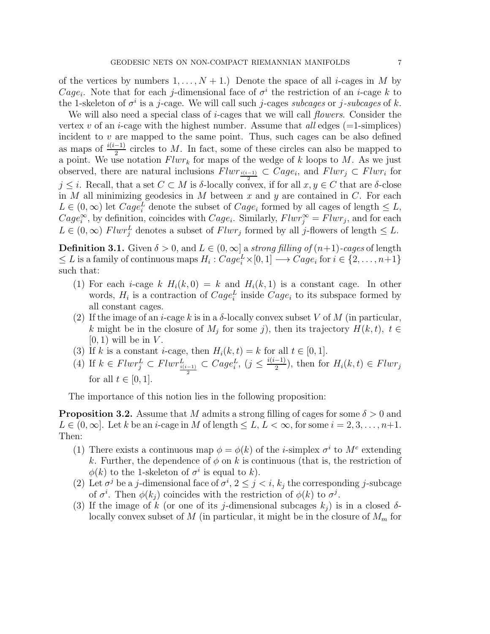of the vertices by numbers  $1, \ldots, N + 1$ .) Denote the space of all *i*-cages in M by Cage<sub>i</sub>. Note that for each j-dimensional face of  $\sigma^i$  the restriction of an *i*-cage k to the 1-skeleton of  $\sigma^i$  is a j-cage. We will call such j-cages subcages or j-subcages of k.

We will also need a special class of *i*-cages that we will call *flowers*. Consider the vertex v of an *i*-cage with the highest number. Assume that all edges  $(=1$ -simplices) incident to  $v$  are mapped to the same point. Thus, such cages can be also defined as maps of  $\frac{i(i-1)}{2}$  circles to M. In fact, some of these circles can also be mapped to a point. We use notation  $Flwr_k$  for maps of the wedge of k loops to M. As we just observed, there are natural inclusions  $Flwr_{\frac{i(i-1)}{2}} \subset Cage_i$ , and  $Flwr_j \subset Flwr_i$  for  $j \leq i$ . Recall, that a set  $C \subset M$  is  $\delta$ -locally convex, if for all  $x, y \in C$  that are  $\delta$ -close in M all minimizing geodesics in M between x and y are contained in  $C$ . For each  $L \in (0, \infty)$  let  $Cage_i^L$  denote the subset of  $Cage_i$  formed by all cages of length  $\leq L$ ,  $Cage_i^{\infty}$ , by definition, coincides with  $Cage_i$ . Similarly,  $Flwr_j^{\infty} = Flwr_j$ , and for each  $L \in (0, \infty)$  Flwr<sup>L</sup> denotes a subset of Flwr<sub>j</sub> formed by all j-flowers of length  $\leq L$ .

**Definition 3.1.** Given  $\delta > 0$ , and  $L \in (0, \infty]$  a strong filling of  $(n+1)$ -cages of length  $\leq L$  is a family of continuous maps  $H_i: Cage_i^L \times [0, 1] \longrightarrow Cage_i$  for  $i \in \{2, ..., n+1\}$ such that:

- (1) For each *i*-cage k  $H_i(k, 0) = k$  and  $H_i(k, 1)$  is a constant cage. In other words,  $H_i$  is a contraction of  $Cage_i^L$  inside  $Cage_i$  to its subspace formed by all constant cages.
- (2) If the image of an *i*-cage k is in a  $\delta$ -locally convex subset V of M (in particular, k might be in the closure of  $M_j$  for some j, then its trajectory  $H(k, t)$ ,  $t \in$  $[0, 1)$  will be in V.
- (3) If k is a constant *i*-cage, then  $H_i(k, t) = k$  for all  $t \in [0, 1]$ .
- (4) If  $k \in Flux_j^L \subset Flux_{\frac{i(i-1)}{2}}^L \subset Cage_i^L$ ,  $(j \leq \frac{i(i-1)}{2})$  $\frac{(-1)}{2}$ , then for  $H_i(k,t) \in Flux_j$ for all  $t \in [0, 1]$ .

The importance of this notion lies in the following proposition:

**Proposition 3.2.** Assume that M admits a strong filling of cages for some  $\delta > 0$  and  $L \in (0, \infty]$ . Let k be an *i*-cage in M of length  $\leq L, L < \infty$ , for some  $i = 2, 3, ..., n+1$ . Then:

- (1) There exists a continuous map  $\phi = \phi(k)$  of the *i*-simplex  $\sigma^i$  to  $M^c$  extending k. Further, the dependence of  $\phi$  on k is continuous (that is, the restriction of  $\phi(k)$  to the 1-skeleton of  $\sigma^i$  is equal to k).
- (2) Let  $\sigma^j$  be a j-dimensional face of  $\sigma^i$ ,  $2 \leq j < i$ ,  $k_j$  the corresponding j-subcage of  $\sigma^i$ . Then  $\phi(k_j)$  coincides with the restriction of  $\phi(k)$  to  $\sigma^j$ .
- (3) If the image of k (or one of its j-dimensional subcages  $k_i$ ) is in a closed  $\delta$ locally convex subset of M (in particular, it might be in the closure of  $M_m$  for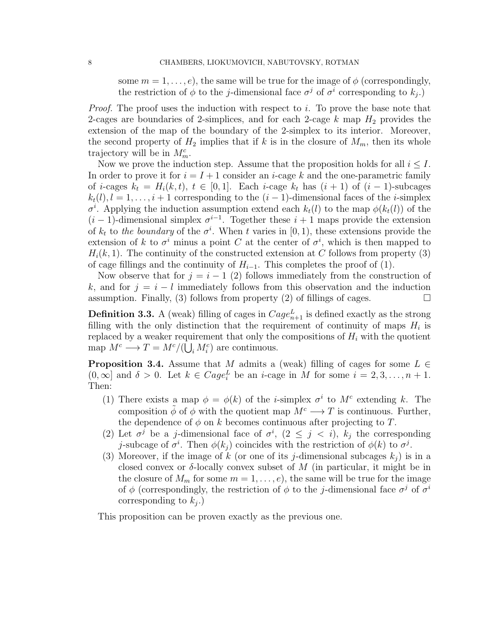some  $m = 1, \ldots, e$ , the same will be true for the image of  $\phi$  (correspondingly, the restriction of  $\phi$  to the *j*-dimensional face  $\sigma^j$  of  $\sigma^i$  corresponding to  $k_j$ .)

*Proof.* The proof uses the induction with respect to i. To prove the base note that 2-cages are boundaries of 2-simplices, and for each 2-cage  $k$  map  $H_2$  provides the extension of the map of the boundary of the 2-simplex to its interior. Moreover, the second property of  $H_2$  implies that if k is in the closure of  $M_m$ , then its whole trajectory will be in  $M_m^c$ .

Now we prove the induction step. Assume that the proposition holds for all  $i \leq I$ . In order to prove it for  $i = I + 1$  consider an *i*-cage k and the one-parametric family of *i*-cages  $k_t = H_i(k, t)$ ,  $t \in [0, 1]$ . Each *i*-cage  $k_t$  has  $(i + 1)$  of  $(i - 1)$ -subcages  $k_t(l)$ ,  $l = 1, \ldots, i+1$  corresponding to the  $(i-1)$ -dimensional faces of the *i*-simplex  $\sigma^i$ . Applying the induction assumption extend each  $k_t(l)$  to the map  $\phi(k_t(l))$  of the  $(i-1)$ -dimensional simplex  $\sigma^{i-1}$ . Together these  $i+1$  maps provide the extension of  $k_t$  to the boundary of the  $\sigma^i$ . When t varies in [0, 1], these extensions provide the extension of k to  $\sigma^i$  minus a point C at the center of  $\sigma^i$ , which is then mapped to  $H_i(k, 1)$ . The continuity of the constructed extension at C follows from property (3) of cage fillings and the continuity of  $H_{i-1}$ . This completes the proof of (1).

Now observe that for  $j = i - 1$  (2) follows immediately from the construction of k, and for  $j = i - l$  immediately follows from this observation and the induction assumption. Finally, (3) follows from property (2) of fillings of cages.  $\Box$ 

**Definition 3.3.** A (weak) filling of cages in  $Cage_{n+1}^L$  is defined exactly as the strong filling with the only distinction that the requirement of continuity of maps  $H_i$  is replaced by a weaker requirement that only the compositions of  $H_i$  with the quotient map  $M^c \longrightarrow T = M^c/(\bigcup_i M_i^c)$  are continuous.

<span id="page-7-0"></span>**Proposition 3.4.** Assume that M admits a (weak) filling of cages for some  $L \in$  $(0, \infty]$  and  $\delta > 0$ . Let  $k \in Cage_i^L$  be an *i*-cage in M for some  $i = 2, 3, ..., n + 1$ . Then:

- (1) There exists a map  $\phi = \phi(k)$  of the *i*-simplex  $\sigma^i$  to  $M^c$  extending k. The composition  $\tilde{\phi}$  of  $\phi$  with the quotient map  $M^c \longrightarrow T$  is continuous. Further, the dependence of  $\phi$  on k becomes continuous after projecting to T.
- (2) Let  $\sigma^j$  be a j-dimensional face of  $\sigma^i$ ,  $(2 \leq j \leq i)$ ,  $k_j$  the corresponding j-subcage of  $\sigma^i$ . Then  $\phi(k_j)$  coincides with the restriction of  $\phi(k)$  to  $\sigma^j$ .
- (3) Moreover, if the image of k (or one of its j-dimensional subcages  $k_i$ ) is in a closed convex or  $\delta$ -locally convex subset of M (in particular, it might be in the closure of  $M_m$  for some  $m = 1, \ldots, e$ , the same will be true for the image of  $\phi$  (correspondingly, the restriction of  $\phi$  to the *j*-dimensional face  $\sigma^j$  of  $\sigma^i$ corresponding to  $k_j$ .)

This proposition can be proven exactly as the previous one.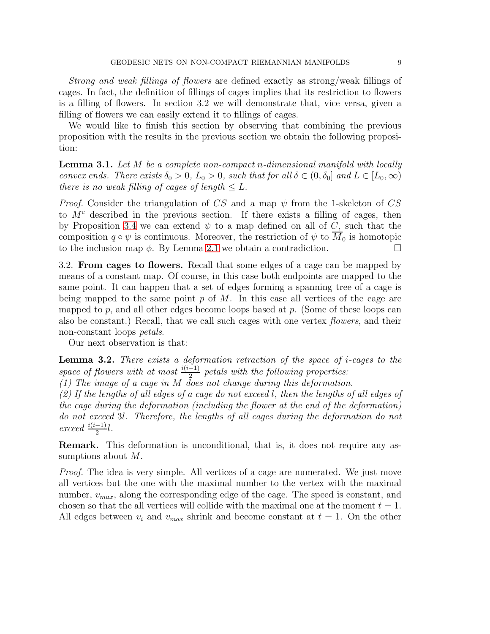Strong and weak fillings of flowers are defined exactly as strong/weak fillings of cages. In fact, the definition of fillings of cages implies that its restriction to flowers is a filling of flowers. In section 3.2 we will demonstrate that, vice versa, given a filling of flowers we can easily extend it to fillings of cages.

We would like to finish this section by observing that combining the previous proposition with the results in the previous section we obtain the following proposition:

<span id="page-8-0"></span>**Lemma 3.1.** Let M be a complete non-compact n-dimensional manifold with locally convex ends. There exists  $\delta_0 > 0$ ,  $L_0 > 0$ , such that for all  $\delta \in (0, \delta_0]$  and  $L \in [L_0, \infty)$ there is no weak filling of cages of length  $\leq L$ .

*Proof.* Consider the triangulation of CS and a map  $\psi$  from the 1-skeleton of CS to  $M<sup>c</sup>$  described in the previous section. If there exists a filling of cages, then by Proposition [3.4](#page-7-0) we can extend  $\psi$  to a map defined on all of C, such that the composition  $q \circ \psi$  is continuous. Moreover, the restriction of  $\psi$  to  $\overline{M}_0$  is homotopic to the inclusion map  $\phi$ . By Lemma [2.1](#page-3-0) we obtain a contradiction.

3.2. From cages to flowers. Recall that some edges of a cage can be mapped by means of a constant map. Of course, in this case both endpoints are mapped to the same point. It can happen that a set of edges forming a spanning tree of a cage is being mapped to the same point  $p$  of  $M$ . In this case all vertices of the cage are mapped to p, and all other edges become loops based at p. (Some of these loops can also be constant.) Recall, that we call such cages with one vertex flowers, and their non-constant loops petals.

Our next observation is that:

**Lemma 3.2.** There exists a deformation retraction of the space of *i*-cages to the space of flowers with at most  $\frac{i(i-1)}{2}$  petals with the following properties:

(1) The image of a cage in M does not change during this deformation.

(2) If the lengths of all edges of a cage do not exceed l, then the lengths of all edges of the cage during the deformation (including the flower at the end of the deformation) do not exceed 3l. Therefore, the lengths of all cages during the deformation do not exceed  $\frac{i(i-1)}{2}l$ .

Remark. This deformation is unconditional, that is, it does not require any assumptions about M.

Proof. The idea is very simple. All vertices of a cage are numerated. We just move all vertices but the one with the maximal number to the vertex with the maximal number,  $v_{max}$ , along the corresponding edge of the cage. The speed is constant, and chosen so that the all vertices will collide with the maximal one at the moment  $t = 1$ . All edges between  $v_i$  and  $v_{max}$  shrink and become constant at  $t = 1$ . On the other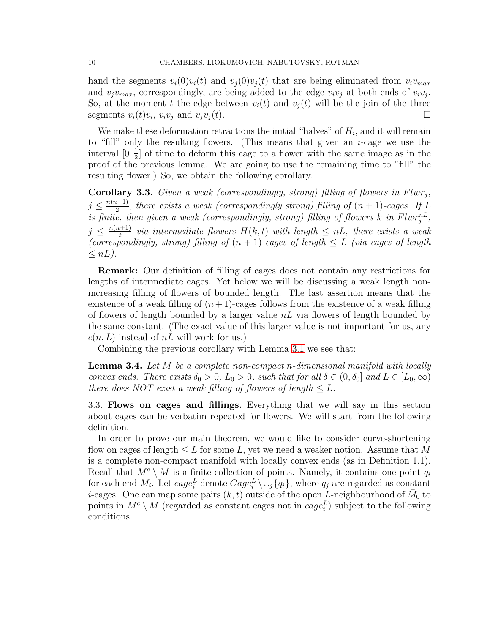hand the segments  $v_i(0)v_i(t)$  and  $v_i(0)v_i(t)$  that are being eliminated from  $v_i v_{max}$ and  $v_j v_{max}$ , correspondingly, are being added to the edge  $v_i v_j$  at both ends of  $v_i v_j$ . So, at the moment t the edge between  $v_i(t)$  and  $v_i(t)$  will be the join of the three segments  $v_i(t)v_i$ ,  $v_iv_j$  and  $v_jv_j(t)$ .

We make these deformation retractions the initial "halves" of  $H_i$ , and it will remain to "fill" only the resulting flowers. (This means that given an  $i$ -cage we use the interval  $[0, \frac{1}{2}]$  $\frac{1}{2}$  of time to deform this cage to a flower with the same image as in the proof of the previous lemma. We are going to use the remaining time to "fill" the resulting flower.) So, we obtain the following corollary.

**Corollary 3.3.** Given a weak (correspondingly, strong) filling of flowers in  $Flwr_j$ ,  $j \leq \frac{n(n+1)}{2}$  $\frac{1}{2}$ , there exists a weak (correspondingly strong) filling of  $(n + 1)$ -cages. If  $L$ is finite, then given a weak (correspondingly, strong) filling of flowers k in  $Flwr_j^{nL}$ ,  $j \leq \frac{n(n+1)}{2}$  $\frac{1}{2}$  via intermediate flowers  $H(k,t)$  with length  $\leq nL$ , there exists a weak (correspondingly, strong) filling of  $(n + 1)$ -cages of length  $\leq L$  (via cages of length  $\leq nL$ ).

Remark: Our definition of filling of cages does not contain any restrictions for lengths of intermediate cages. Yet below we will be discussing a weak length nonincreasing filling of flowers of bounded length. The last assertion means that the existence of a weak filling of  $(n+1)$ -cages follows from the existence of a weak filling of flowers of length bounded by a larger value  $nL$  via flowers of length bounded by the same constant. (The exact value of this larger value is not important for us, any  $c(n, L)$  instead of nL will work for us.)

Combining the previous corollary with Lemma [3.1](#page-8-0) we see that:

**Lemma 3.4.** Let M be a complete non-compact n-dimensional manifold with locally convex ends. There exists  $\delta_0 > 0$ ,  $L_0 > 0$ , such that for all  $\delta \in (0, \delta_0]$  and  $L \in [L_0, \infty)$ there does NOT exist a weak filling of flowers of length  $\leq L$ .

3.3. Flows on cages and fillings. Everything that we will say in this section about cages can be verbatim repeated for flowers. We will start from the following definition.

In order to prove our main theorem, we would like to consider curve-shortening flow on cages of length  $\leq L$  for some L, yet we need a weaker notion. Assume that M is a complete non-compact manifold with locally convex ends (as in Definition 1.1). Recall that  $M^c \setminus M$  is a finite collection of points. Namely, it contains one point  $q_i$ for each end  $M_i$ . Let  $cage_i^L$  denote  $Cage_i^L \setminus \cup_j \{q_i\}$ , where  $q_j$  are regarded as constant *i*-cages. One can map some pairs  $(k, t)$  outside of the open L-neighbourhood of  $\bar{M}_0$  to points in  $M^c \setminus M$  (regarded as constant cages not in  $cage_i^L$ ) subject to the following conditions: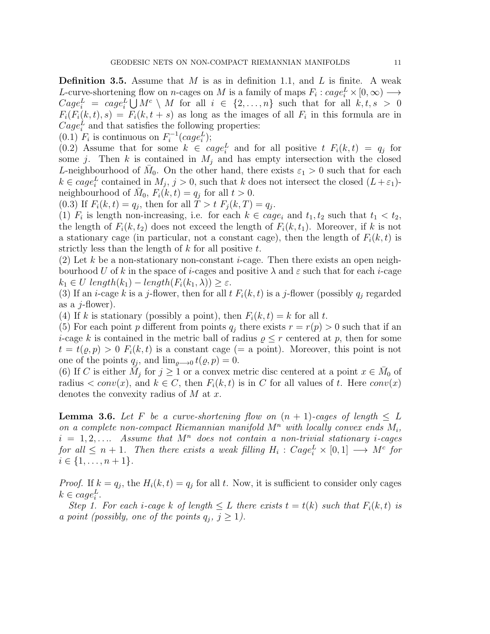**Definition 3.5.** Assume that M is as in definition 1.1, and L is finite. A weak L-curve-shortening flow on *n*-cages on M is a family of maps  $F_i : cage_i^L \times [0, \infty) \longrightarrow$  $Cage_i^L = cage_i^L \bigcup M^c \setminus M$  for all  $i \in \{2, ..., n\}$  such that for all  $k, t, s > 0$  $F_i(F_i(k,t), s) = F_i(k, t + s)$  as long as the images of all  $F_i$  in this formula are in  $Cage_i^L$  and that satisfies the following properties:

(0.1)  $F_i$  is continuous on  $F_i^{-1}(cage_i^L);$ 

(0.2) Assume that for some  $k \in cage_i^L$  and for all positive  $t F_i(k,t) = q_j$  for some j. Then k is contained in  $M_j$  and has empty intersection with the closed L-neighbourhood of  $\bar{M}_0$ . On the other hand, there exists  $\varepsilon_1 > 0$  such that for each  $k \in cage_i^L$  contained in  $M_j$ ,  $j > 0$ , such that k does not intersect the closed  $(L + \varepsilon_1)$ neighbourhood of  $\overline{M}_0$ ,  $F_i(k,t) = q_j$  for all  $t > 0$ .

(0.3) If  $F_i(k,t) = q_j$ , then for all  $T > t$   $F_j(k,T) = q_j$ .

(1)  $F_i$  is length non-increasing, i.e. for each  $k \in cage_i$  and  $t_1, t_2$  such that  $t_1 < t_2$ , the length of  $F_i(k, t_2)$  does not exceed the length of  $F_i(k, t_1)$ . Moreover, if k is not a stationary cage (in particular, not a constant cage), then the length of  $F_i(k, t)$  is strictly less than the length of  $k$  for all positive  $t$ .

(2) Let k be a non-stationary non-constant *i*-cage. Then there exists an open neighbourhood U of k in the space of i-cages and positive  $\lambda$  and  $\varepsilon$  such that for each i-cage  $k_1 \in U$  length $(k_1)$  – length $(F_i(k_1, \lambda)) \geq \varepsilon$ .

(3) If an *i*-cage k is a *j*-flower, then for all t  $F_i(k, t)$  is a *j*-flower (possibly  $q_i$  regarded as a  $j$ -flower).

(4) If k is stationary (possibly a point), then  $F_i(k, t) = k$  for all t.

(5) For each point p different from points  $q_i$  there exists  $r = r(p) > 0$  such that if an *i*-cage k is contained in the metric ball of radius  $\rho \leq r$  centered at p, then for some  $t = t(\varrho, p) > 0$   $F_i(k, t)$  is a constant cage (= a point). Moreover, this point is not one of the points  $q_j$ , and  $\lim_{\varrho \to 0} t(\varrho, p) = 0$ .

(6) If C is either  $\overline{M}_j$  for  $j \geq 1$  or a convex metric disc centered at a point  $x \in \overline{M}_0$  of radius  $\langle conv(x), \text{ and } k \in C, \text{ then } F_i(k,t) \text{ is in } C \text{ for all values of } t.$  Here  $conv(x)$ denotes the convexity radius of  $M$  at  $x$ .

**Lemma 3.6.** Let F be a curve-shortening flow on  $(n + 1)$ -cages of length  $\leq L$ on a complete non-compact Riemannian manifold  $M^n$  with locally convex ends  $M_i$ ,  $i = 1, 2, \ldots$  Assume that  $M^n$  does not contain a non-trivial stationary *i*-cages for all  $\leq n+1$ . Then there exists a weak filling  $H_i$ :  $Cage_i^L \times [0,1] \longrightarrow M^c$  for  $i \in \{1, \ldots, n+1\}.$ 

*Proof.* If  $k = q_j$ , the  $H_i(k, t) = q_j$  for all t. Now, it is sufficient to consider only cages  $k \in cage_i^L$ .

Step 1. For each i-cage k of length  $\leq L$  there exists  $t = t(k)$  such that  $F_i(k,t)$  is a point (possibly, one of the points  $q_j, j \geq 1$ ).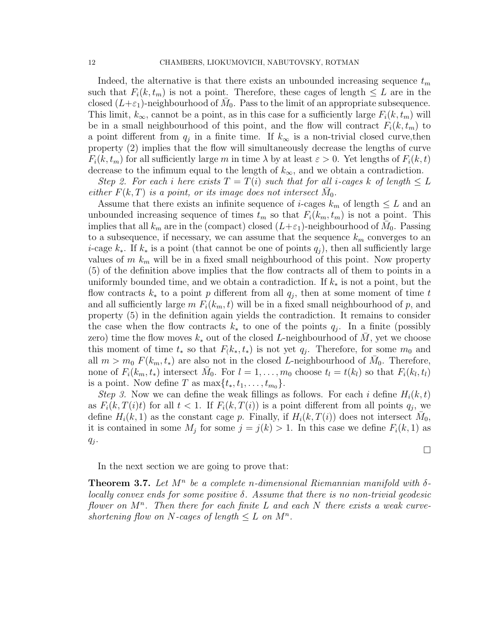Indeed, the alternative is that there exists an unbounded increasing sequence  $t_m$ such that  $F_i(k, t_m)$  is not a point. Therefore, these cages of length  $\leq L$  are in the closed  $(L+\varepsilon_1)$ -neighbourhood of  $\bar{M}_0$ . Pass to the limit of an appropriate subsequence. This limit,  $k_{\infty}$ , cannot be a point, as in this case for a sufficiently large  $F_i(k, t_m)$  will be in a small neighbourhood of this point, and the flow will contract  $F_i(k, t_m)$  to a point different from  $q_j$  in a finite time. If  $k_{\infty}$  is a non-trivial closed curve, then property (2) implies that the flow will simultaneously decrease the lengths of curve  $F_i(k, t_m)$  for all sufficiently large m in time  $\lambda$  by at least  $\varepsilon > 0$ . Yet lengths of  $F_i(k, t)$ decrease to the infimum equal to the length of  $k_{\infty}$ , and we obtain a contradiction.

Step 2. For each i here exists  $T = T(i)$  such that for all i-cages k of length  $\leq L$ either  $F(k,T)$  is a point, or its image does not intersect  $\bar{M}_0$ .

Assume that there exists an infinite sequence of *i*-cages  $k_m$  of length  $\leq L$  and an unbounded increasing sequence of times  $t_m$  so that  $F_i(k_m, t_m)$  is not a point. This implies that all  $k_m$  are in the (compact) closed  $(L+\varepsilon_1)$ -neighbourhood of  $\overline{M}_0$ . Passing to a subsequence, if necessary, we can assume that the sequence  $k_m$  converges to an i-cage  $k_*$ . If  $k_*$  is a point (that cannot be one of points  $q_i$ ), then all sufficiently large values of  $m$   $k_m$  will be in a fixed small neighbourhood of this point. Now property (5) of the definition above implies that the flow contracts all of them to points in a uniformly bounded time, and we obtain a contradiction. If  $k_*$  is not a point, but the flow contracts  $k_*$  to a point p different from all  $q_j$ , then at some moment of time t and all sufficiently large  $m F_i(k_m, t)$  will be in a fixed small neighbourhood of p, and property (5) in the definition again yields the contradiction. It remains to consider the case when the flow contracts  $k_*$  to one of the points  $q_j$ . In a finite (possibly zero) time the flow moves  $k_*$  out of the closed L-neighbourhood of M, yet we choose this moment of time  $t_*$  so that  $F(k_*, t_*)$  is not yet  $q_j$ . Therefore, for some  $m_0$  and all  $m > m_0 F(k_m, t_*)$  are also not in the closed L-neighbourhood of  $\overline{M}_0$ . Therefore, none of  $F_i(k_m, t_*)$  intersect  $\bar{M}_0$ . For  $l = 1, \ldots, m_0$  choose  $t_l = t(k_l)$  so that  $F_i(k_l, t_l)$ is a point. Now define T as  $\max\{t_*, t_1, \ldots, t_{m_0}\}.$ 

*Step 3.* Now we can define the weak fillings as follows. For each i define  $H_i(k,t)$ as  $F_i(k, T(i)t)$  for all  $t < 1$ . If  $F_i(k, T(i))$  is a point different from all points  $q_j$ , we define  $H_i(k, 1)$  as the constant cage p. Finally, if  $H_i(k, T(i))$  does not intersect  $\overline{M}_0$ , it is contained in some  $M_j$  for some  $j = j(k) > 1$ . In this case we define  $F_i(k, 1)$  as  $q_j$ .

 $\Box$ 

In the next section we are going to prove that:

**Theorem 3.7.** Let  $M^n$  be a complete n-dimensional Riemannian manifold with  $\delta$ locally convex ends for some positive  $\delta$ . Assume that there is no non-trivial geodesic flower on  $M^n$ . Then there for each finite L and each N there exists a weak curveshortening flow on N-cages of length  $\leq L$  on  $M^n$ .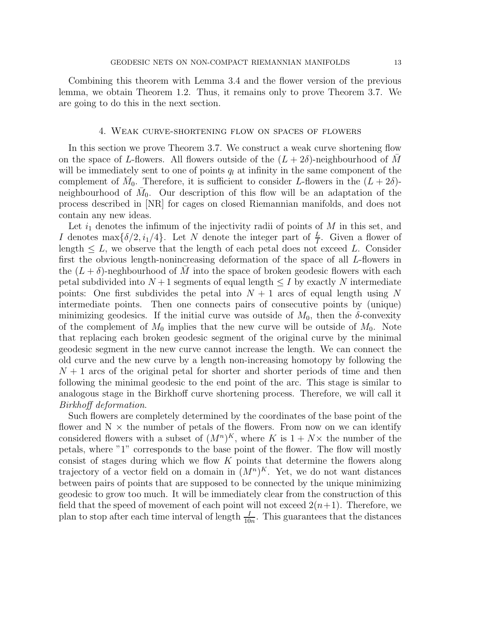Combining this theorem with Lemma 3.4 and the flower version of the previous lemma, we obtain Theorem 1.2. Thus, it remains only to prove Theorem 3.7. We are going to do this in the next section.

## 4. Weak curve-shortening flow on spaces of flowers

In this section we prove Theorem 3.7. We construct a weak curve shortening flow on the space of L-flowers. All flowers outside of the  $(L + 2\delta)$ -neighbourhood of M will be immediately sent to one of points  $q_l$  at infinity in the same component of the complement of  $\overline{M}_0$ . Therefore, it is sufficient to consider L-flowers in the  $(L+2\delta)$ neighbourhood of  $\bar{M}_0$ . Our description of this flow will be an adaptation of the process described in [NR] for cages on closed Riemannian manifolds, and does not contain any new ideas.

Let  $i_1$  denotes the infimum of the injectivity radii of points of M in this set, and I denotes max $\{\delta/2, i_1/4\}$ . Let N denote the integer part of  $\frac{L}{I}$ . Given a flower of length  $\leq L$ , we observe that the length of each petal does not exceed L. Consider first the obvious length-nonincreasing deformation of the space of all L-flowers in the  $(L + \delta)$ -neghbourhood of M into the space of broken geodesic flowers with each petal subdivided into  $N+1$  segments of equal length  $\leq I$  by exactly N intermediate points: One first subdivides the petal into  $N+1$  arcs of equal length using N intermediate points. Then one connects pairs of consecutive points by (unique) minimizing geodesics. If the initial curve was outside of  $M_0$ , then the  $\delta$ -convexity of the complement of  $M_0$  implies that the new curve will be outside of  $M_0$ . Note that replacing each broken geodesic segment of the original curve by the minimal geodesic segment in the new curve cannot increase the length. We can connect the old curve and the new curve by a length non-increasing homotopy by following the  $N+1$  arcs of the original petal for shorter and shorter periods of time and then following the minimal geodesic to the end point of the arc. This stage is similar to analogous stage in the Birkhoff curve shortening process. Therefore, we will call it Birkhoff deformation.

Such flowers are completely determined by the coordinates of the base point of the flower and  $N \times$  the number of petals of the flowers. From now on we can identify considered flowers with a subset of  $(M^n)^K$ , where K is  $1 + N \times$  the number of the petals, where "1" corresponds to the base point of the flower. The flow will mostly consist of stages during which we flow  $K$  points that determine the flowers along trajectory of a vector field on a domain in  $(M^n)^K$ . Yet, we do not want distances between pairs of points that are supposed to be connected by the unique minimizing geodesic to grow too much. It will be immediately clear from the construction of this field that the speed of movement of each point will not exceed  $2(n+1)$ . Therefore, we plan to stop after each time interval of length  $\frac{I}{10n}$ . This guarantees that the distances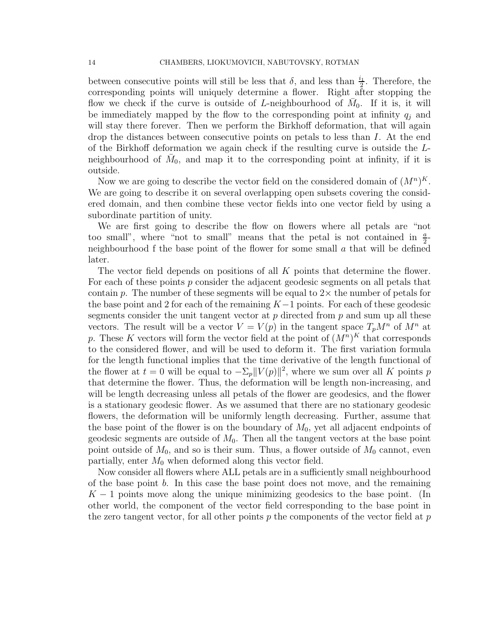between consecutive points will still be less that  $\delta$ , and less than  $\frac{i_1}{2}$ . Therefore, the corresponding points will uniquely determine a flower. Right after stopping the flow we check if the curve is outside of L-neighbourhood of  $\bar{M}_0$ . If it is, it will be immediately mapped by the flow to the corresponding point at infinity  $q_i$  and will stay there forever. Then we perform the Birkhoff deformation, that will again drop the distances between consecutive points on petals to less than I. At the end of the Birkhoff deformation we again check if the resulting curve is outside the Lneighbourhood of  $\bar{M}_0$ , and map it to the corresponding point at infinity, if it is outside.

Now we are going to describe the vector field on the considered domain of  $(M^n)^K$ . We are going to describe it on several overlapping open subsets covering the considered domain, and then combine these vector fields into one vector field by using a subordinate partition of unity.

We are first going to describe the flow on flowers where all petals are "not too small", where "not to small" means that the petal is not contained in  $\frac{a}{2}$ neighbourhood f the base point of the flower for some small  $\alpha$  that will be defined later.

The vector field depends on positions of all  $K$  points that determine the flower. For each of these points  $p$  consider the adjacent geodesic segments on all petals that contain p. The number of these segments will be equal to  $2\times$  the number of petals for the base point and 2 for each of the remaining  $K-1$  points. For each of these geodesic segments consider the unit tangent vector at  $p$  directed from  $p$  and sum up all these vectors. The result will be a vector  $V = V(p)$  in the tangent space  $T_p M^n$  of  $M^n$  at p. These K vectors will form the vector field at the point of  $(M^n)^K$  that corresponds to the considered flower, and will be used to deform it. The first variation formula for the length functional implies that the time derivative of the length functional of the flower at  $t = 0$  will be equal to  $-\Sigma_p ||V(p)||^2$ , where we sum over all K points p that determine the flower. Thus, the deformation will be length non-increasing, and will be length decreasing unless all petals of the flower are geodesics, and the flower is a stationary geodesic flower. As we assumed that there are no stationary geodesic flowers, the deformation will be uniformly length decreasing. Further, assume that the base point of the flower is on the boundary of  $M_0$ , yet all adjacent endpoints of geodesic segments are outside of  $M_0$ . Then all the tangent vectors at the base point point outside of  $M_0$ , and so is their sum. Thus, a flower outside of  $M_0$  cannot, even partially, enter  $M_0$  when deformed along this vector field.

Now consider all flowers where ALL petals are in a sufficiently small neighbourhood of the base point  $b$ . In this case the base point does not move, and the remaining  $K-1$  points move along the unique minimizing geodesics to the base point. (In other world, the component of the vector field corresponding to the base point in the zero tangent vector, for all other points p the components of the vector field at  $p$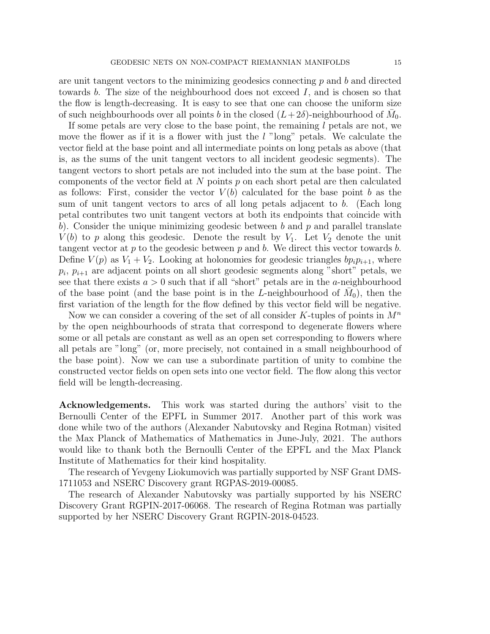are unit tangent vectors to the minimizing geodesics connecting  $p$  and  $b$  and directed towards b. The size of the neighbourhood does not exceed I, and is chosen so that the flow is length-decreasing. It is easy to see that one can choose the uniform size of such neighbourhoods over all points b in the closed  $(L+2\delta)$ -neighbourhood of  $\bar{M}_0$ .

If some petals are very close to the base point, the remaining  $l$  petals are not, we move the flower as if it is a flower with just the  $l$  "long" petals. We calculate the vector field at the base point and all intermediate points on long petals as above (that is, as the sums of the unit tangent vectors to all incident geodesic segments). The tangent vectors to short petals are not included into the sum at the base point. The components of the vector field at N points  $p$  on each short petal are then calculated as follows: First, consider the vector  $V(b)$  calculated for the base point b as the sum of unit tangent vectors to arcs of all long petals adjacent to b. (Each long petal contributes two unit tangent vectors at both its endpoints that coincide with b). Consider the unique minimizing geodesic between b and p and parallel translate  $V(b)$  to p along this geodesic. Denote the result by  $V_1$ . Let  $V_2$  denote the unit tangent vector at p to the geodesic between p and b. We direct this vector towards b. Define  $V(p)$  as  $V_1 + V_2$ . Looking at holonomies for geodesic triangles  $bp_i p_{i+1}$ , where  $p_i$ ,  $p_{i+1}$  are adjacent points on all short geodesic segments along "short" petals, we see that there exists  $a > 0$  such that if all "short" petals are in the a-neighbourhood of the base point (and the base point is in the L-neighbourhood of  $\overline{M}_0$ ), then the first variation of the length for the flow defined by this vector field will be negative.

Now we can consider a covering of the set of all consider K-tuples of points in  $M^n$ by the open neighbourhoods of strata that correspond to degenerate flowers where some or all petals are constant as well as an open set corresponding to flowers where all petals are "long" (or, more precisely, not contained in a small neighbourhood of the base point). Now we can use a subordinate partition of unity to combine the constructed vector fields on open sets into one vector field. The flow along this vector field will be length-decreasing.

Acknowledgements. This work was started during the authors' visit to the Bernoulli Center of the EPFL in Summer 2017. Another part of this work was done while two of the authors (Alexander Nabutovsky and Regina Rotman) visited the Max Planck of Mathematics of Mathematics in June-July, 2021. The authors would like to thank both the Bernoulli Center of the EPFL and the Max Planck Institute of Mathematics for their kind hospitality.

The research of Yevgeny Liokumovich was partially supported by NSF Grant DMS-1711053 and NSERC Discovery grant RGPAS-2019-00085.

The research of Alexander Nabutovsky was partially supported by his NSERC Discovery Grant RGPIN-2017-06068. The research of Regina Rotman was partially supported by her NSERC Discovery Grant RGPIN-2018-04523.